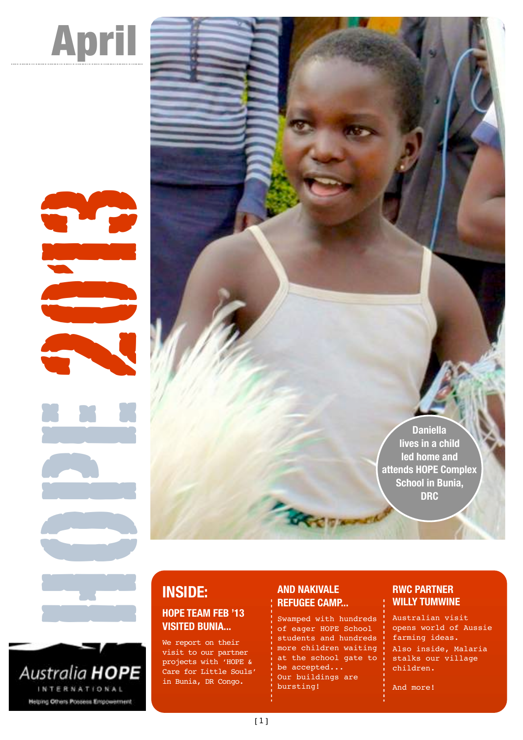

Hope 2

Australia HOPE INTERNATIONAL **Helping Others Possess Empowerment** 

## **INSIDE: HOPE TEAM FEB '13 VISITED BUNIA...**

We report on their visit to our partner projects with 'HOPE & Care for Little Souls' in Bunia, DR Congo.

#### **AND NAKIVALE REFUGEE CAMP...**

Swamped with hundreds of eager HOPE School students and hundreds more children waiting at the school gate to be accepted... Our buildings are bursting!

#### **RWC PARTNER WILLY TUMWINE**

**Daniella lives in a child led home and attends HOPE Complex School in Bunia, DRC**

> Australian visit opens world of Aussie farming ideas. Also inside, Malaria stalks our village children.

And more!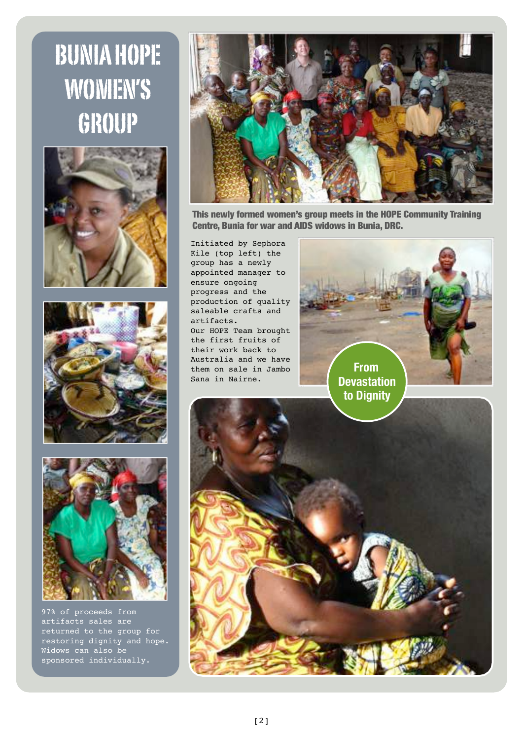# BUNIA HOPE WOMEN'S GROUP







97% of proceeds from artifacts sales are returned to the group for restoring dignity and hope. Widows can also be sponsored individually.



This newly formed women's group meets in the HOPE Community Training Centre, Bunia for war and AIDS widows in Bunia, DRC.

Initiated by Sephora Kile (top left) the group has a newly appointed manager to ensure ongoing progress and the production of quality saleable crafts and artifacts. Our HOPE Team brought the first fruits of their work back to Australia and we have them on sale in Jambo Sana in Nairne.

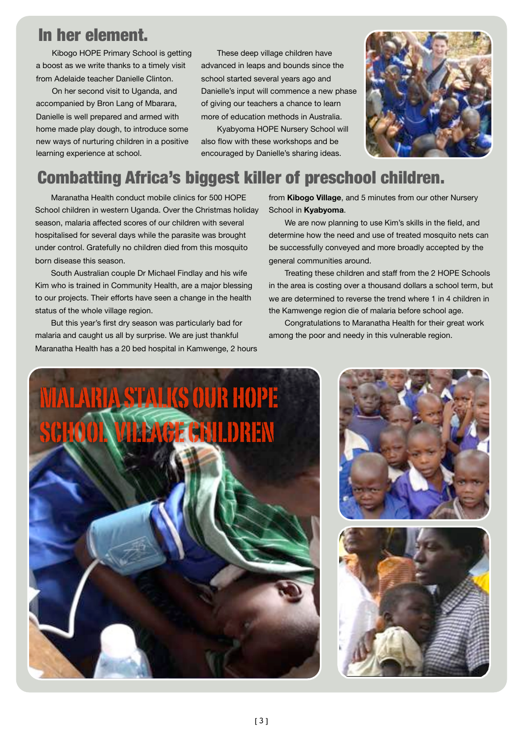# In her element.

Kibogo HOPE Primary School is getting a boost as we write thanks to a timely visit from Adelaide teacher Danielle Clinton.

On her second visit to Uganda, and accompanied by Bron Lang of Mbarara, Danielle is well prepared and armed with home made play dough, to introduce some new ways of nurturing children in a positive learning experience at school.

These deep village children have advanced in leaps and bounds since the school started several years ago and Danielle's input will commence a new phase of giving our teachers a chance to learn more of education methods in Australia.

Kyabyoma HOPE Nursery School will also flow with these workshops and be encouraged by Danielle's sharing ideas.



# Combatting Africa's biggest killer of preschool children.

Maranatha Health conduct mobile clinics for 500 HOPE School children in western Uganda. Over the Christmas holiday season, malaria affected scores of our children with several hospitalised for several days while the parasite was brought under control. Gratefully no children died from this mosquito born disease this season.

South Australian couple Dr Michael Findlay and his wife Kim who is trained in Community Health, are a major blessing to our projects. Their efforts have seen a change in the health status of the whole village region.

But this year's first dry season was particularly bad for malaria and caught us all by surprise. We are just thankful Maranatha Health has a 20 bed hospital in Kamwenge, 2 hours from **Kibogo Village**, and 5 minutes from our other Nursery School in **Kyabyoma**.

We are now planning to use Kim's skills in the field, and determine how the need and use of treated mosquito nets can be successfully conveyed and more broadly accepted by the general communities around.

Treating these children and staff from the 2 HOPE Schools in the area is costing over a thousand dollars a school term, but we are determined to reverse the trend where 1 in 4 children in the Kamwenge region die of malaria before school age.

Congratulations to Maranatha Health for their great work among the poor and needy in this vulnerable region.





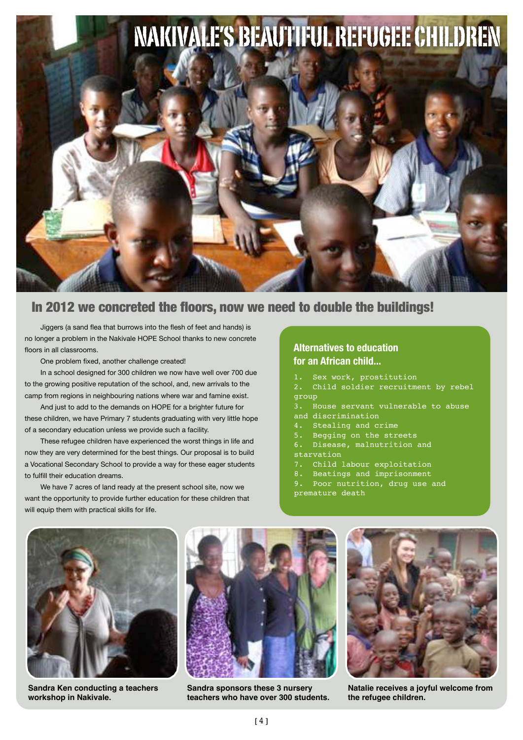

#### In 2012 we concreted the floors, now we need to double the buildings!

Jiggers (a sand flea that burrows into the flesh of feet and hands) is no longer a problem in the Nakivale HOPE School thanks to new concrete floors in all classrooms.

One problem fixed, another challenge created!

In a school designed for 300 children we now have well over 700 due to the growing positive reputation of the school, and, new arrivals to the camp from regions in neighbouring nations where war and famine exist.

And just to add to the demands on HOPE for a brighter future for these children, we have Primary 7 students graduating with very little hope of a secondary education unless we provide such a facility.

These refugee children have experienced the worst things in life and now they are very determined for the best things. Our proposal is to build a Vocational Secondary School to provide a way for these eager students to fulfill their education dreams.

We have 7 acres of land ready at the present school site, now we want the opportunity to provide further education for these children that will equip them with practical skills for life.

#### **Alternatives to education for an African child...**

- 1. Sex work, prostitution
- 2. Child soldier recruitment by rebel group
- 3. House servant vulnerable to abuse and discrimination
- 4. Stealing and crime
- 5. Begging on the streets
- 6. Disease, malnutrition and
- starvation
- 7. Child labour exploitation
- 8. Beatings and imprisonment
- Poor nutrition, drug use and premature death

**Sandra Ken conducting a teachers workshop in Nakivale.**



**Sandra sponsors these 3 nursery teachers who have over 300 students.**



**Natalie receives a joyful welcome from the refugee children.**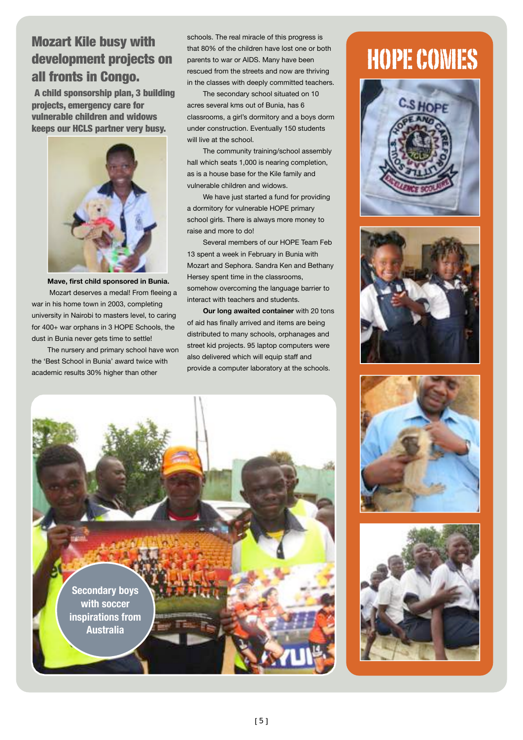## Mozart Kile busy with development projects on all fronts in Congo.

A child sponsorship plan, 3 building projects, emergency care for vulnerable children and widows keeps our HCLS partner very busy.



**Mave, first child sponsored in Bunia.** Mozart deserves a medal! From fleeing a war in his home town in 2003, completing university in Nairobi to masters level, to caring for 400+ war orphans in 3 HOPE Schools, the dust in Bunia never gets time to settle!

The nursery and primary school have won the 'Best School in Bunia' award twice with academic results 30% higher than other

schools. The real miracle of this progress is that 80% of the children have lost one or both parents to war or AIDS. Many have been rescued from the streets and now are thriving in the classes with deeply committed teachers.

The secondary school situated on 10 acres several kms out of Bunia, has 6 classrooms, a girl's dormitory and a boys dorm under construction. Eventually 150 students will live at the school.

The community training/school assembly hall which seats 1,000 is nearing completion, as is a house base for the Kile family and vulnerable children and widows.

We have just started a fund for providing a dormitory for vulnerable HOPE primary school girls. There is always more money to raise and more to do!

Several members of our HOPE Team Feb 13 spent a week in February in Bunia with Mozart and Sephora. Sandra Ken and Bethany Hersey spent time in the classrooms, somehow overcoming the language barrier to interact with teachers and students.

**Our long awaited container** with 20 tons of aid has finally arrived and items are being distributed to many schools, orphanages and street kid projects. 95 laptop computers were also delivered which will equip staff and provide a computer laboratory at the schools.











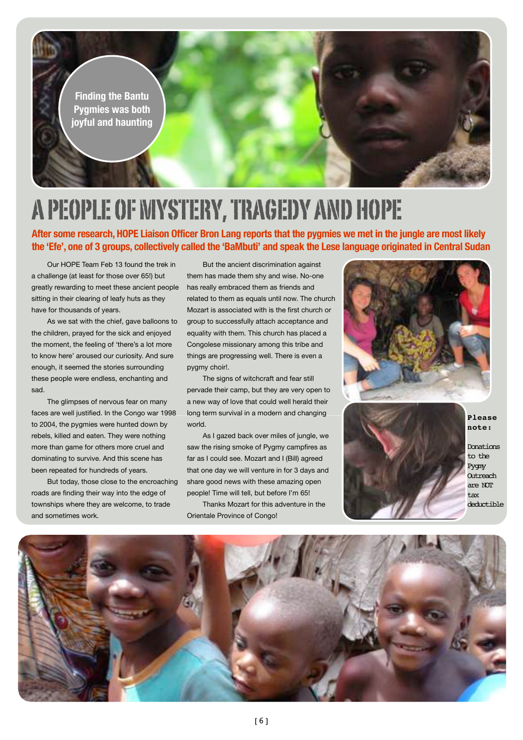

# A PEOPLE OF MYSTERY, TRAGEDY AND HOPE

**After some research, HOPE Liaison Officer Bron Lang reports that the pygmies we met in the jungle are most likely the 'Efe', one of 3 groups, collectively called the 'BaMbuti' and speak the Lese language originated in Central Sudan**

Our HOPE Team Feb 13 found the trek in a challenge (at least for those over 65!) but greatly rewarding to meet these ancient people sitting in their clearing of leafy huts as they have for thousands of years.

As we sat with the chief, gave balloons to the children, prayed for the sick and enjoyed the moment, the feeling of 'there's a lot more to know here' aroused our curiosity. And sure enough, it seemed the stories surrounding these people were endless, enchanting and sad.

The glimpses of nervous fear on many faces are well justified. In the Congo war 1998 to 2004, the pygmies were hunted down by rebels, killed and eaten. They were nothing more than game for others more cruel and dominating to survive. And this scene has been repeated for hundreds of years.

But today, those close to the encroaching roads are finding their way into the edge of townships where they are welcome, to trade and sometimes work.

But the ancient discrimination against them has made them shy and wise. No-one has really embraced them as friends and related to them as equals until now. The church Mozart is associated with is the first church or group to successfully attach acceptance and equality with them. This church has placed a Congolese missionary among this tribe and things are progressing well. There is even a pygmy choir!.

The signs of witchcraft and fear still pervade their camp, but they are very open to a new way of love that could well herald their long term survival in a modern and changing world.

As I gazed back over miles of jungle, we saw the rising smoke of Pygmy campfires as far as I could see. Mozart and I (Bill) agreed that one day we will venture in for 3 days and share good news with these amazing open people! Time will tell, but before I'm 65!

Thanks Mozart for this adventure in the Orientale Province of Congo!





**Please note:**

Donations to the Pygmy **Outreach** are NOT tax deductible

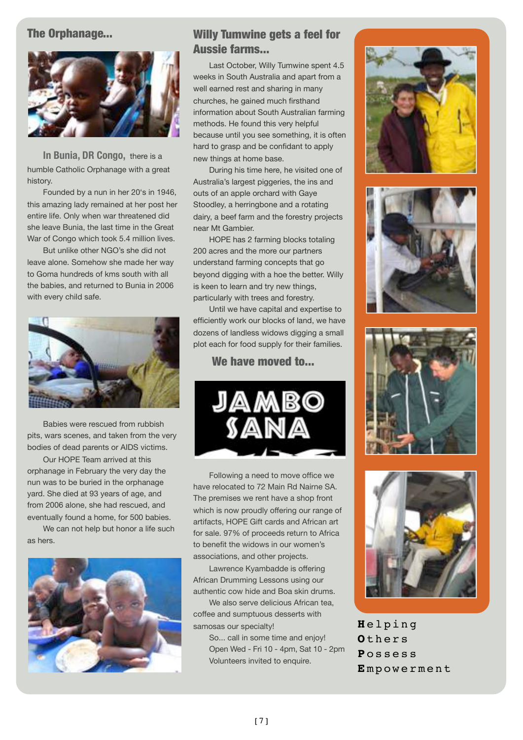#### The Orphanage...



**In Bunia, DR Congo,** there is a humble Catholic Orphanage with a great history.

Founded by a nun in her 20's in 1946, this amazing lady remained at her post her entire life. Only when war threatened did she leave Bunia, the last time in the Great War of Congo which took 5.4 million lives.

But unlike other NGO's she did not leave alone. Somehow she made her way to Goma hundreds of kms south with all the babies, and returned to Bunia in 2006 with every child safe.



Babies were rescued from rubbish pits, wars scenes, and taken from the very bodies of dead parents or AIDS victims.

Our HOPE Team arrived at this orphanage in February the very day the nun was to be buried in the orphanage yard. She died at 93 years of age, and from 2006 alone, she had rescued, and eventually found a home, for 500 babies.

We can not help but honor a life such as hers.



#### Willy Tumwine gets a feel for Aussie farms...

Last October, Willy Tumwine spent 4.5 weeks in South Australia and apart from a well earned rest and sharing in many churches, he gained much firsthand information about South Australian farming methods. He found this very helpful because until you see something, it is often hard to grasp and be confidant to apply new things at home base.

During his time here, he visited one of Australia's largest piggeries, the ins and outs of an apple orchard with Gaye Stoodley, a herringbone and a rotating dairy, a beef farm and the forestry projects near Mt Gambier.

HOPE has 2 farming blocks totaling 200 acres and the more our partners understand farming concepts that go beyond digging with a hoe the better. Willy is keen to learn and try new things, particularly with trees and forestry.

Until we have capital and expertise to efficiently work our blocks of land, we have dozens of landless widows digging a small plot each for food supply for their families.

#### We have moved to...



Following a need to move office we have relocated to 72 Main Rd Nairne SA. The premises we rent have a shop front which is now proudly offering our range of artifacts, HOPE Gift cards and African art for sale. 97% of proceeds return to Africa to benefit the widows in our women's associations, and other projects.

Lawrence Kyambadde is offering African Drumming Lessons using our authentic cow hide and Boa skin drums.

We also serve delicious African tea. coffee and sumptuous desserts with samosas our specialty!

So... call in some time and enjoy! Open Wed - Fri 10 - 4pm, Sat 10 - 2pm Volunteers invited to enquire.









**H** elping **O** thers **P** ossess **E** mpowerment